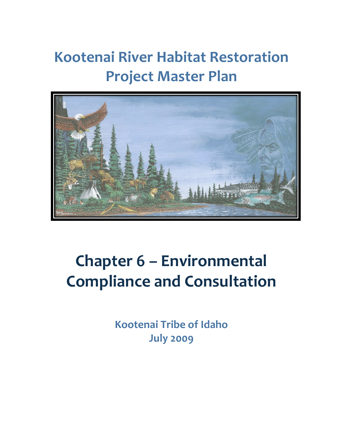## **Kootenai River Habitat Restoration Project Master Plan**



# **Chapter 6 – Environmental Compliance and Consultation**

**Kootenai Tribe of Idaho July 2009**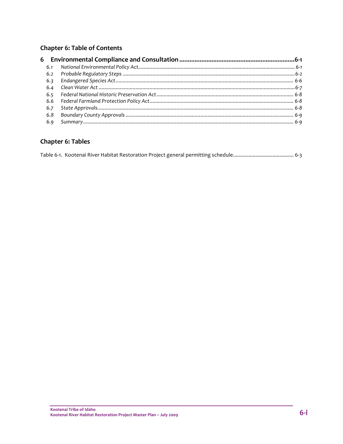#### Chapter 6: Table of Contents

#### **Chapter 6: Tables**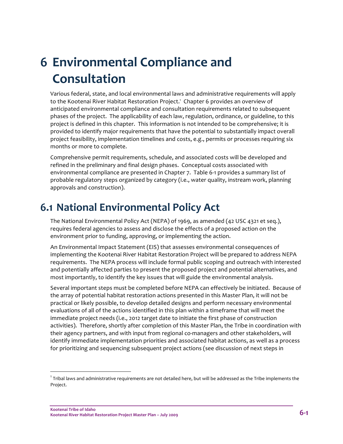## **6 Environmental Compliance and Consultation**

Various federal, state, and local environmental laws and administrative requirements will apply to the Kootenai River Habitat Restoration Project.<sup>1</sup> Chapter 6 provides an overview of anticipated environmental compliance and consultation requirements related to subsequent phases of the project. The applicability of each law, regulation, ordinance, or guideline, to this project is defined in this chapter. This information is not intended to be comprehensive; it is provided to identify major requirements that have the potential to substantially impact overall project feasibility, implementation timelines and costs, e.g., permits or processes requiring six months or more to complete.

Comprehensive permit requirements, schedule, and associated costs will be developed and refined in the preliminary and final design phases. Conceptual costs associated with environmental compliance are presented in Chapter 7. Table 6‐1 provides a summary list of probable regulatory steps organized by category (i.e., water quality, instream work, planning approvals and construction).

#### **6.1 National Environmental Policy Act**

The National Environmental Policy Act (NEPA) of 1969, as amended (42 USC 4321 et seq.), requires federal agencies to assess and disclose the effects of a proposed action on the environment prior to funding, approving, or implementing the action.

An Environmental Impact Statement (EIS) that assesses environmental consequences of implementing the Kootenai River Habitat Restoration Project will be prepared to address NEPA requirements. The NEPA process will include formal public scoping and outreach with interested and potentially affected parties to present the proposed project and potential alternatives, and most importantly, to identify the key issues that will guide the environmental analysis.

Several important steps must be completed before NEPA can effectively be initiated. Because of the array of potential habitat restoration actions presented in this Master Plan, it will not be practical or likely possible, to develop detailed designs and perform necessary environmental evaluations of all of the actions identified in this plan within a timeframe that will meet the immediate project needs (i.e., 2012 target date to initiate the first phase of construction activities). Therefore, shortly after completion of this Master Plan, the Tribe in coordination with their agency partners, and with input from regional co-managers and other stakeholders, will identify immediate implementation priorities and associated habitat actions, as well as a process for prioritizing and sequencing subsequent project actions (see discussion of next steps in

<u> Andrew Maria (1989)</u>

 $^{\rm 1}$  Tribal laws and administrative requirements are not detailed here, but will be addressed as the Tribe implements the Project.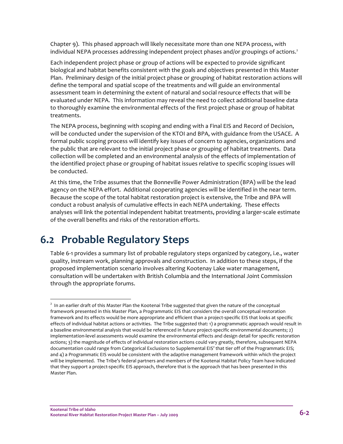Chapter 9). This phased approach will likely necessitate more than one NEPA process, with individual NEPA processes addressing independent project phases and/or groupings of actions.<sup>2</sup>

Each independent project phase or group of actions will be expected to provide significant biological and habitat benefits consistent with the goals and objectives presented in this Master Plan. Preliminary design of the initial project phase or grouping of habitat restoration actions will define the temporal and spatial scope of the treatments and will guide an environmental assessment team in determining the extent of natural and social resource effects that will be evaluated under NEPA. This information may reveal the need to collect additional baseline data to thoroughly examine the environmental effects of the first project phase or group of habitat treatments.

The NEPA process, beginning with scoping and ending with a Final EIS and Record of Decision, will be conducted under the supervision of the KTOI and BPA, with guidance from the USACE. A formal public scoping process will identify key issues of concern to agencies, organizations and the public that are relevant to the initial project phase or grouping of habitat treatments. Data collection will be completed and an environmental analysis of the effects of implementation of the identified project phase or grouping of habitat issues relative to specific scoping issues will be conducted.

At this time, the Tribe assumes that the Bonneville Power Administration (BPA) will be the lead agency on the NEPA effort. Additional cooperating agencies will be identified in the near term. Because the scope of the total habitat restoration project is extensive, the Tribe and BPA will conduct a robust analysis of cumulative effects in each NEPA undertaking. These effects analyses will link the potential independent habitat treatments, providing a larger‐scale estimate of the overall benefits and risks of the restoration efforts.

#### **6.2 Probable Regulatory Steps**

Table 6‐1 provides a summary list of probable regulatory steps organized by category, i.e., water quality, instream work, planning approvals and construction. In addition to these steps, if the proposed implementation scenario involves altering Kootenay Lake water management, consultation will be undertaken with British Columbia and the International Joint Commission through the appropriate forums.

<sup>&</sup>lt;sup>2</sup> In an earlier draft of this Master Plan the Kootenai Tribe suggested that given the nature of the conceptual framework presented in this Master Plan, a Programmatic EIS that considers the overall conceptual restoration framework and its effects would be more appropriate and efficient than a project-specific EIS that looks at specific effects of individual habitat actions or activities. The Tribe suggested that: 1) a programmatic approach would result in a baseline environmental analysis that would be referenced in future project-specific environmental documents; 2) implementation‐level assessments would examine the environmental effects and design detail for specific restoration actions; 3) the magnitude of effects of individual restoration actions could vary greatly, therefore, subsequent NEPA documentation could range from Categorical Exclusions to Supplemental EIS' that tier off of the Programmatic EIS; and 4) a Programmatic EIS would be consistent with the adaptive management framework within which the project will be implemented. The Tribe's federal partners and members of the Kootenai Habitat Policy Team have indicated that they support a project-specific EIS approach, therefore that is the approach that has been presented in this Master Plan.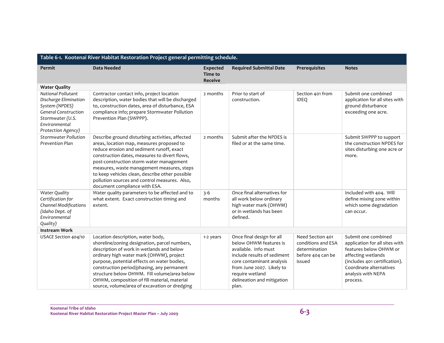| Table 6-1. Kootenai River Habitat Restoration Project general permitting schedule.                                                                      |                                                                                                                                                                                                                                                                                                                                                                                                                           |                                                     |                                                                                                                                                                                                                                |                                                                                        |                                                                                                                                                                                                     |  |  |
|---------------------------------------------------------------------------------------------------------------------------------------------------------|---------------------------------------------------------------------------------------------------------------------------------------------------------------------------------------------------------------------------------------------------------------------------------------------------------------------------------------------------------------------------------------------------------------------------|-----------------------------------------------------|--------------------------------------------------------------------------------------------------------------------------------------------------------------------------------------------------------------------------------|----------------------------------------------------------------------------------------|-----------------------------------------------------------------------------------------------------------------------------------------------------------------------------------------------------|--|--|
| Permit                                                                                                                                                  | <b>Data Needed</b>                                                                                                                                                                                                                                                                                                                                                                                                        | <b>Expected</b><br><b>Time to</b><br><b>Receive</b> | <b>Required Submittal Date</b>                                                                                                                                                                                                 | Prerequisites                                                                          | <b>Notes</b>                                                                                                                                                                                        |  |  |
| <b>Water Quality</b>                                                                                                                                    |                                                                                                                                                                                                                                                                                                                                                                                                                           |                                                     |                                                                                                                                                                                                                                |                                                                                        |                                                                                                                                                                                                     |  |  |
| National Pollutant<br>Discharge Elimination<br>System (NPDES)<br><b>General Construction</b><br>Stormwater (U.S.<br>Environmental<br>Protection Agency) | Contractor contact info, project location<br>description, water bodies that will be discharged<br>to, construction dates, area of disturbance, ESA<br>compliance info; prepare Stormwater Pollution<br>Prevention Plan (SWPPP).                                                                                                                                                                                           | 2 months                                            | Prior to start of<br>construction.                                                                                                                                                                                             | Section 401 from<br><b>IDEQ</b>                                                        | Submit one combined<br>application for all sites with<br>ground disturbance<br>exceeding one acre.                                                                                                  |  |  |
| <b>Stormwater Pollution</b><br>Prevention Plan                                                                                                          | Describe ground disturbing activities, affected<br>areas, location map, measures proposed to<br>reduce erosion and sediment runoff, exact<br>construction dates, measures to divert flows,<br>post-construction storm water management<br>measures, waste management measures, steps<br>to keep vehicles clean, describe other possible<br>pollution sources and control measures. Also,<br>document compliance with ESA. | 2 months                                            | Submit after the NPDES is<br>filed or at the same time.                                                                                                                                                                        |                                                                                        | Submit SWPPP to support<br>the construction NPDES for<br>sites disturbing one acre or<br>more.                                                                                                      |  |  |
| Water Quality<br>Certification for<br><b>Channel Modifications</b><br>(Idaho Dept. of<br>Environmental<br>Quality)                                      | Water quality parameters to be affected and to<br>what extent. Exact construction timing and<br>extent.                                                                                                                                                                                                                                                                                                                   | $3 - 6$<br>months                                   | Once final alternatives for<br>all work below ordinary<br>high water mark (OHWM)<br>or in wetlands has been<br>defined.                                                                                                        |                                                                                        | Included with 404. Will<br>define mixing zone within<br>which some degradation<br>can occur.                                                                                                        |  |  |
| <b>Instream Work</b>                                                                                                                                    |                                                                                                                                                                                                                                                                                                                                                                                                                           |                                                     |                                                                                                                                                                                                                                |                                                                                        |                                                                                                                                                                                                     |  |  |
| USACE Section 404/10                                                                                                                                    | Location description, water body,<br>shoreline/zoning designation, parcel numbers,<br>description of work in wetlands and below<br>ordinary high water mark (OHWM), project<br>purpose, potential effects on water bodies,<br>construction period/phasing, any permanent<br>structure below OHWM. Fill volume/area below<br>OHWM, composition of fill material, material<br>source, volume/area of excavation or dredging | 1-2 years                                           | Once final design for all<br>below OHWM features is<br>available. Info must<br>include results of sediment<br>core contaminant analysis<br>from June 2007. Likely to<br>require wetland<br>delineation and mitigation<br>plan. | Need Section 401<br>conditions and ESA<br>determination<br>before 404 can be<br>issued | Submit one combined<br>application for all sites with<br>features below OHWM or<br>affecting wetlands<br>(includes 401 certification).<br>Coordinate alternatives<br>analysis with NEPA<br>process. |  |  |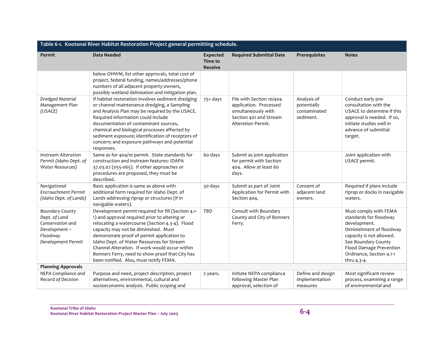| Table 6-1. Kootenai River Habitat Restoration Project general permitting schedule.                            |                                                                                                                                                                                                                                                                                                                                                                                                                                          |                                              |                                                                                                                           |                                                         |                                                                                                                                                                                                                      |  |  |
|---------------------------------------------------------------------------------------------------------------|------------------------------------------------------------------------------------------------------------------------------------------------------------------------------------------------------------------------------------------------------------------------------------------------------------------------------------------------------------------------------------------------------------------------------------------|----------------------------------------------|---------------------------------------------------------------------------------------------------------------------------|---------------------------------------------------------|----------------------------------------------------------------------------------------------------------------------------------------------------------------------------------------------------------------------|--|--|
| <b>Permit</b>                                                                                                 | <b>Data Needed</b>                                                                                                                                                                                                                                                                                                                                                                                                                       | <b>Expected</b><br>Time to<br><b>Receive</b> | <b>Required Submittal Date</b>                                                                                            | Prerequisites                                           | <b>Notes</b>                                                                                                                                                                                                         |  |  |
|                                                                                                               | below OHWM, list other approvals, total cost of<br>project, federal funding, names/addresses/phone<br>numbers of all adjacent property owners,<br>possibly wetland delineation and mitigation plan.                                                                                                                                                                                                                                      |                                              |                                                                                                                           |                                                         |                                                                                                                                                                                                                      |  |  |
| Dredged Material<br>Management Plan<br>(USACE)                                                                | If habitat restoration involves sediment dredging<br>or channel maintenance dredging, a Sampling<br>and Analysis Plan may be required by the USACE.<br>Required information could include<br>documentation of contaminant sources,<br>chemical and biological processes affected by<br>sediment exposure; identification of receptors of<br>concern; and exposure pathways and potential<br>responses.                                   | $75+ days$                                   | File with Section 10/404<br>application. Processed<br>simultaneously with<br>Section 401 and Stream<br>Alteration Permit. | Analysis of<br>potentially<br>contaminated<br>sediment. | Conduct early pre-<br>consultation with the<br>USACE to determine if this<br>approval is needed. If so,<br>initiate studies well in<br>advance of submittal<br>target.                                               |  |  |
| Instream Alteration<br>Permit (Idaho Dept. of<br>Water Resources)                                             | Same as for 404/10 permit. State standards for<br>construction and instream features: IDAPA<br>37.03.07 (055-065). If other approaches or<br>procedures are proposed, they must be<br>described.                                                                                                                                                                                                                                         | 60 days                                      | Submit as joint application<br>for permit with Section<br>404. Allow at least 60<br>days.                                 |                                                         | Joint application with<br>USACE permit.                                                                                                                                                                              |  |  |
| Navigational<br>Encroachment Permit<br>(Idaho Dept. of Lands)                                                 | Basic application is same as above with<br>additional form required for Idaho Dept. of<br>Lands addressing riprap or structures (if in<br>navigable waters).                                                                                                                                                                                                                                                                             | 30 days                                      | Submit as part of Joint<br>Application for Permit with<br>Section 404.                                                    | Consent of<br>adjacent land<br>owners.                  | Required if plans include<br>riprap or docks in navigable<br>waters.                                                                                                                                                 |  |  |
| <b>Boundary County</b><br>Dept. of Land<br>Conservation and<br>Development-<br>Floodway<br>Development Permit | Development permit required for fill (Section 4.1-<br>1) and approval required prior to altering or<br>relocating a watercourse (Section 4.3-4). Flood<br>capacity may not be diminished. Must<br>demonstrate proof of permit application to<br>Idaho Dept. of Water Resources for Stream<br>Channel Alteration. If work would occur within<br>Bonners Ferry, need to show proof that City has<br>been notified. Also, must notify FEMA. | TBD                                          | Consult with Boundary<br>County and City of Bonners<br>Ferry.                                                             |                                                         | Must comply with FEMA<br>standards for floodway<br>development.<br>Diminishment of floodway<br>capacity is not allowed.<br>See Boundary County<br>Flood Damage Prevention<br>Ordinance, Section 4.1-1<br>thru 4.3-4. |  |  |
| <b>Planning Approvals</b>                                                                                     |                                                                                                                                                                                                                                                                                                                                                                                                                                          |                                              |                                                                                                                           |                                                         |                                                                                                                                                                                                                      |  |  |
| NEPA Compliance and<br>Record of Decision                                                                     | Purpose and need, project description, project<br>alternatives, environmental, cultural and<br>socioeconomic analysis. Public scoping and                                                                                                                                                                                                                                                                                                | 2 years.                                     | Initiate NEPA compliance<br>following Master Plan<br>approval, selection of                                               | Define and design<br>implementation<br>measures         | Most significant review<br>process, examining a range<br>of environmental and                                                                                                                                        |  |  |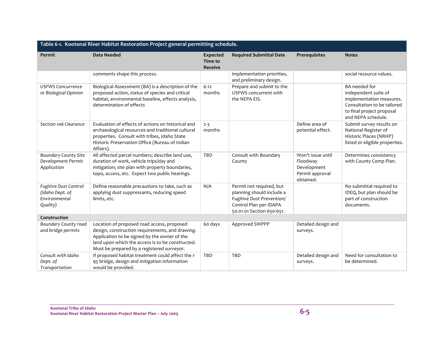| Table 6-1. Kootenai River Habitat Restoration Project general permitting schedule. |                                                                                                                                                                                                                                                 |                                              |                                                                                                                                           |                                                                              |                                                                                                                                                     |  |  |
|------------------------------------------------------------------------------------|-------------------------------------------------------------------------------------------------------------------------------------------------------------------------------------------------------------------------------------------------|----------------------------------------------|-------------------------------------------------------------------------------------------------------------------------------------------|------------------------------------------------------------------------------|-----------------------------------------------------------------------------------------------------------------------------------------------------|--|--|
| Permit                                                                             | <b>Data Needed</b>                                                                                                                                                                                                                              | <b>Expected</b><br>Time to<br><b>Receive</b> | <b>Required Submittal Date</b>                                                                                                            | Prerequisites                                                                | <b>Notes</b>                                                                                                                                        |  |  |
|                                                                                    | comments shape this process.                                                                                                                                                                                                                    |                                              | implementation priorities,<br>and preliminary design.                                                                                     |                                                                              | social resource values.                                                                                                                             |  |  |
| <b>USFWS Concurrence</b><br>or Biological Opinion                                  | Biological Assessment (BA) is a description of the<br>proposed action, status of species and critical<br>habitat, environmental baseline, effects analysis,<br>determination of effects                                                         | $6 - 12$<br>months                           | Prepare and submit to the<br>USFWS concurrent with<br>the NEPA EIS.                                                                       |                                                                              | BA needed for<br>independent suite of<br>implementation measures.<br>Consultation to be tailored<br>to final project proposal<br>and NEPA schedule. |  |  |
| Section 106 Clearance                                                              | Evaluation of effects of actions on historical and<br>archaeological resources and traditional cultural<br>properties. Consult with tribes, Idaho State<br>Historic Preservation Office (Bureau of Indian<br>Affairs).                          | $2 - 3$<br>months                            |                                                                                                                                           | Define area of<br>potential effect.                                          | Submit survey results on<br>National Register of<br>Historic Places (NRHP)<br>listed or eligible properties.                                        |  |  |
| <b>Boundary County Site</b><br>Development Permit<br>Application                   | All affected parcel numbers; describe land use,<br>duration of work, vehicle trips/day and<br>mitigation; site plan with property boundaries,<br>topo, access, etc. Expect two public hearings.                                                 | TBD                                          | Consult with Boundary<br>County                                                                                                           | Won't issue until<br>Floodway<br>Development<br>Permit approval<br>obtained. | Determines consistency<br>with County Comp Plan.                                                                                                    |  |  |
| Fugitive Dust Control<br>(Idaho Dept. of<br>Environmental<br>Quality)              | Define reasonable precautions to take, such as<br>applying dust suppressants, reducing speed<br>limits, etc.                                                                                                                                    | N/A                                          | Permit not required, but<br>planning should include a<br>Fugitive Dust Prevention/<br>Control Plan per IDAPA<br>50.01.01 Section 650-651. |                                                                              | No submittal required to<br>IDEQ, but plan should be<br>part of construction<br>documents.                                                          |  |  |
| Construction                                                                       |                                                                                                                                                                                                                                                 |                                              |                                                                                                                                           |                                                                              |                                                                                                                                                     |  |  |
| Boundary County road<br>and bridge permits                                         | Location of proposed road access, proposed<br>design, construction requirements, and drawing.<br>Application to be signed by the owner of the<br>land upon which the access is to be constructed.<br>Must be prepared by a registered surveyor. | 60 days                                      | Approved SWPPP                                                                                                                            | Detailed design and<br>surveys.                                              |                                                                                                                                                     |  |  |
| Consult with Idaho<br>Dept. of<br>Transportation                                   | If proposed habitat treatment could affect the I-<br>95 bridge, design and mitigation information<br>would be provided.                                                                                                                         | <b>TBD</b>                                   | <b>TBD</b>                                                                                                                                | Detailed design and<br>surveys.                                              | Need for consultation to<br>be determined.                                                                                                          |  |  |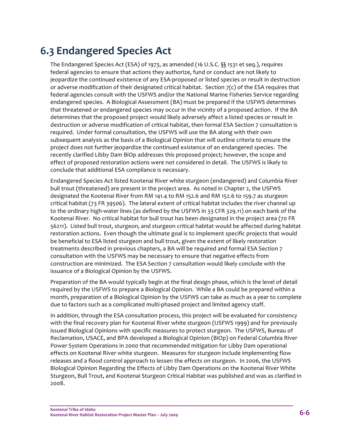### **6.3 Endangered Species Act**

The Endangered Species Act (ESA) of 1973, as amended (16 U.S.C. §§ 1531 et seq.), requires federal agencies to ensure that actions they authorize, fund or conduct are not likely to jeopardize the continued existence of any ESA‐proposed or listed species or result in destruction or adverse modification of their designated critical habitat. Section 7(c) of the ESA requires that federal agencies consult with the USFWS and/or the National Marine Fisheries Service regarding endangered species. A Biological Assessment (BA) must be prepared if the USFWS determines that threatened or endangered species may occur in the vicinity of a proposed action. If the BA determines that the proposed project would likely adversely affect a listed species or result in destruction or adverse modification of critical habitat, then formal ESA Section 7 consultation is required. Under formal consultation, the USFWS will use the BA along with their own subsequent analysis as the basis of a Biological Opinion that will outline criteria to ensure the project does not further jeopardize the continued existence of an endangered species. The recently clarified Libby Dam BiOp addresses this proposed project; however, the scope and effect of proposed restoration actions were not considered in detail. The USFWS is likely to conclude that additional ESA compliance is necessary.

Endangered Species Act listed Kootenai River white sturgeon (endangered) and Columbia River bull trout (threatened) are present in the project area. As noted in Chapter 2, the USFWS designated the Kootenai River from RM 141.4 to RM 152.6 and RM 152.6 to 159.7 as sturgeon critical habitat (73 FR 39506). The lateral extent of critical habitat includes the river channel up to the ordinary high‐water lines (as defined by the USFWS in 33 CFR 329.11) on each bank of the Kootenai River. No critical habitat for bull trout has been designated in the project area (70 FR 56211). Listed bull trout, sturgeon, and sturgeon critical habitat would be affected during habitat restoration actions. Even though the ultimate goal is to implement specific projects that would be beneficial to ESA listed sturgeon and bull trout, given the extent of likely restoration treatments described in previous chapters, a BA will be required and formal ESA Section 7 consultation with the USFWS may be necessary to ensure that negative effects from construction are minimized. The ESA Section 7 consultation would likely conclude with the issuance of a Biological Opinion by the USFWS.

Preparation of the BA would typically begin at the final design phase, which is the level of detail required by the USFWS to prepare a Biological Opinion. While a BA could be prepared within a month, preparation of a Biological Opinion by the USFWS can take as much as a year to complete due to factors such as a complicated multi‐phased project and limited agency staff.

In addition, through the ESA consultation process, this project will be evaluated for consistency with the final recovery plan for Kootenai River white sturgeon (USFWS 1999) and for previously issued Biological Opinions with specific measures to protect sturgeon. The USFWS, Bureau of Reclamation, USACE, and BPA developed a Biological Opinion (BiOp) on Federal Columbia River Power System Operations in 2000 that recommended mitigation for Libby Dam operational effects on Kootenai River white sturgeon. Measures for sturgeon include implementing flow releases and a flood control approach to lessen the effects on sturgeon. In 2006, the USFWS Biological Opinion Regarding the Effects of Libby Dam Operations on the Kootenai River White Sturgeon, Bull Trout, and Kootenai Sturgeon Critical Habitat was published and was as clarified in 2008.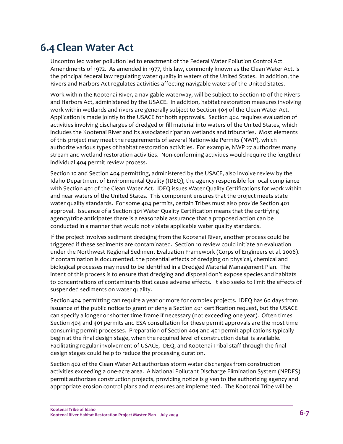#### **6.4Clean Water Act**

Uncontrolled water pollution led to enactment of the Federal Water Pollution Control Act Amendments of 1972. As amended in 1977, this law, commonly known as the Clean Water Act, is the principal federal law regulating water quality in waters of the United States. In addition, the Rivers and Harbors Act regulates activities affecting navigable waters of the United States.

Work within the Kootenai River, a navigable waterway, will be subject to Section 10 of the Rivers and Harbors Act, administered by the USACE. In addition, habitat restoration measures involving work within wetlands and rivers are generally subject to Section 404 of the Clean Water Act. Application is made jointly to the USACE for both approvals. Section 404 requires evaluation of activities involving discharges of dredged or fill material into waters of the United States, which includes the Kootenai River and its associated riparian wetlands and tributaries. Most elements of this project may meet the requirements of several Nationwide Permits (NWP), which authorize various types of habitat restoration activities. For example, NWP 27 authorizes many stream and wetland restoration activities. Non‐conforming activities would require the lengthier individual 404 permit review process.

Section 10 and Section 404 permitting, administered by the USACE, also involve review by the Idaho Department of Environmental Quality (IDEQ), the agency responsible for local compliance with Section 401 of the Clean Water Act. IDEQ issues Water Quality Certifications for work within and near waters of the United States. This component ensures that the project meets state water quality standards. For some 404 permits, certain Tribes must also provide Section 401 approval. Issuance of a Section 401 Water Quality Certification means that the certifying agency/tribe anticipates there is a reasonable assurance that a proposed action can be conducted in a manner that would not violate applicable water quality standards.

If the project involves sediment dredging from the Kootenai River, another process could be triggered if these sediments are contaminated. Section 10 review could initiate an evaluation under the Northwest Regional Sediment Evaluation Framework (Corps of Engineers et al. 2006). If contamination is documented, the potential effects of dredging on physical, chemical and biological processes may need to be identified in a Dredged Material Management Plan. The intent of this process is to ensure that dredging and disposal don't expose species and habitats to concentrations of contaminants that cause adverse effects. It also seeks to limit the effects of suspended sediments on water quality.

Section 404 permitting can require a year or more for complex projects. IDEQ has 60 days from issuance of the public notice to grant or deny a Section 401 certification request, but the USACE can specify a longer or shorter time frame if necessary (not exceeding one year). Often times Section 404 and 401 permits and ESA consultation for these permit approvals are the most time consuming permit processes. Preparation of Section 404 and 401 permit applications typically begin at the final design stage, when the required level of construction detail is available. Facilitating regular involvement of USACE, IDEQ, and Kootenai Tribal staff through the final design stages could help to reduce the processing duration.

Section 402 of the Clean Water Act authorizes storm water discharges from construction activities exceeding a one‐acre area. A National Pollutant Discharge Elimination System (NPDES) permit authorizes construction projects, providing notice is given to the authorizing agency and appropriate erosion control plans and measures are implemented. The Kootenai Tribe will be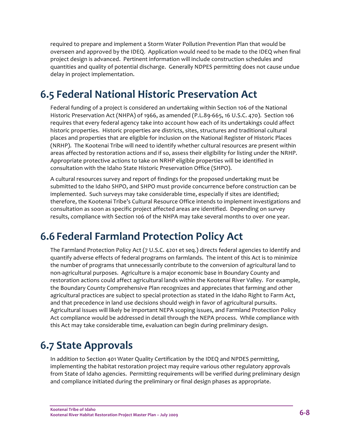required to prepare and implement a Storm Water Pollution Prevention Plan that would be overseen and approved by the IDEQ. Application would need to be made to the IDEQ when final project design is advanced. Pertinent information will include construction schedules and quantities and quality of potential discharge. Generally NDPES permitting does not cause undue delay in project implementation.

### **6.5 Federal National Historic Preservation Act**

Federal funding of a project is considered an undertaking within Section 106 of the National Historic Preservation Act (NHPA) of 1966, as amended (P.L.89‐665, 16 U.S.C. 470). Section 106 requires that every federal agency take into account how each of its undertakings could affect historic properties. Historic properties are districts, sites, structures and traditional cultural places and properties that are eligible for inclusion on the National Register of Historic Places (NRHP). The Kootenai Tribe will need to identify whether cultural resources are present within areas affected by restoration actions and if so, assess their eligibility for listing under the NRHP. Appropriate protective actions to take on NRHP eligible properties will be identified in consultation with the Idaho State Historic Preservation Office (SHPO).

A cultural resources survey and report of findings for the proposed undertaking must be submitted to the Idaho SHPO, and SHPO must provide concurrence before construction can be implemented. Such surveys may take considerable time, especially if sites are identified; therefore, the Kootenai Tribe's Cultural Resource Office intends to implement investigations and consultation as soon as specific project affected areas are identified. Depending on survey results, compliance with Section 106 of the NHPA may take several months to over one year.

#### **6.6 Federal Farmland Protection Policy Act**

The Farmland Protection Policy Act (7 U.S.C. 4201 et seq.) directs federal agencies to identify and quantify adverse effects of federal programs on farmlands. The intent of this Act is to minimize the number of programs that unnecessarily contribute to the conversion of agricultural land to non‐agricultural purposes. Agriculture is a major economic base in Boundary County and restoration actions could affect agricultural lands within the Kootenai River Valley. For example, the Boundary County Comprehensive Plan recognizes and appreciates that farming and other agricultural practices are subject to special protection as stated in the Idaho Right to Farm Act, and that precedence in land use decisions should weigh in favor of agricultural pursuits. Agricultural issues will likely be important NEPA scoping issues, and Farmland Protection Policy Act compliance would be addressed in detail through the NEPA process. While compliance with this Act may take considerable time, evaluation can begin during preliminary design.

### **6.7 State Approvals**

In addition to Section 401 Water Quality Certification by the IDEQ and NPDES permitting, implementing the habitat restoration project may require various other regulatory approvals from State of Idaho agencies. Permitting requirements will be verified during preliminary design and compliance initiated during the preliminary or final design phases as appropriate.